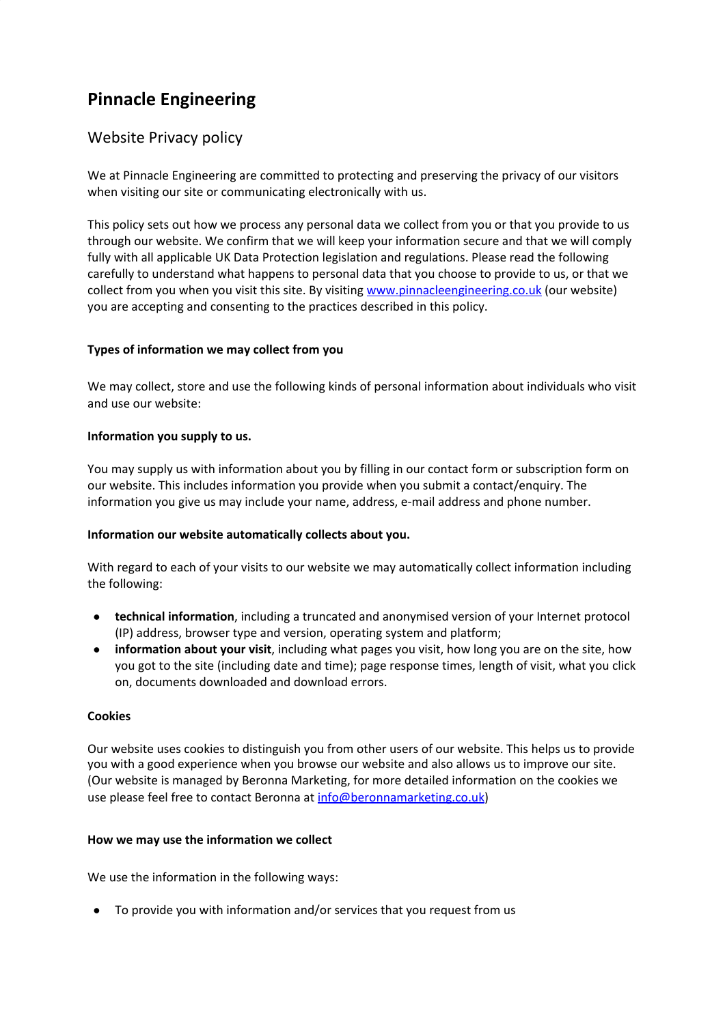# **Pinnacle Engineering**

# Website Privacy policy

We at Pinnacle Engineering are committed to protecting and preserving the privacy of our visitors when visiting our site or communicating electronically with us.

This policy sets out how we process any personal data we collect from you or that you provide to us through our website. We confirm that we will keep your information secure and that we will comply fully with all applicable UK Data Protection legislation and regulations. Please read the following carefully to understand what happens to personal data that you choose to provide to us, or that we collect from you when you visit this site. By visiting [www.pinnacleengineering.co.uk](http://www.wearsiderewinds.co.uk/) (our website) you are accepting and consenting to the practices described in this policy.

# **Types of information we may collect from you**

We may collect, store and use the following kinds of personal information about individuals who visit and use our website:

# **Information you supply to us.**

You may supply us with information about you by filling in our contact form or subscription form on our website. This includes information you provide when you submit a contact/enquiry. The information you give us may include your name, address, e-mail address and phone number.

#### **Information our website automatically collects about you.**

With regard to each of your visits to our website we may automatically collect information including the following:

- **technical information**, including a truncated and anonymised version of your Internet protocol (IP) address, browser type and version, operating system and platform;
- **information about your visit**, including what pages you visit, how long you are on the site, how you got to the site (including date and time); page response times, length of visit, what you click on, documents downloaded and download errors.

#### **Cookies**

Our website uses cookies to distinguish you from other users of our website. This helps us to provide you with a good experience when you browse our website and also allows us to improve our site. (Our website is managed by Beronna Marketing, for more detailed information on the cookies we use please feel free to contact Beronna at [info@beronnamarketing.co.uk\)](mailto:info@beronnamarketing.co.uk)

#### **How we may use the information we collect**

We use the information in the following ways:

● To provide you with information and/or services that you request from us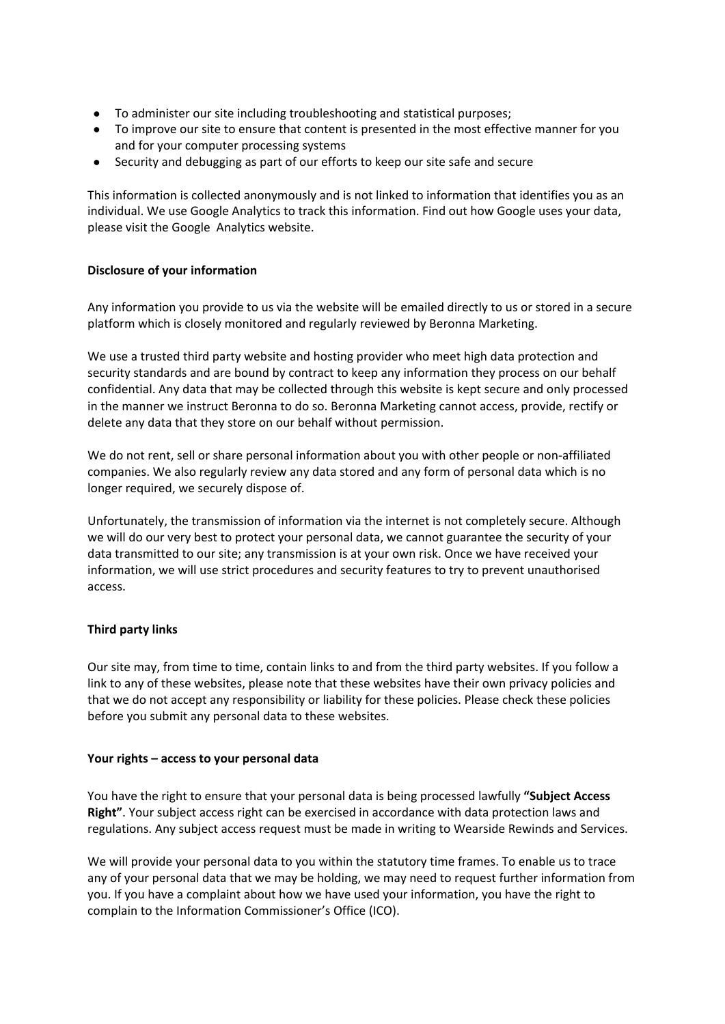- To administer our site including troubleshooting and statistical purposes;
- To improve our site to ensure that content is presented in the most effective manner for you and for your computer processing systems
- Security and debugging as part of our efforts to keep our site safe and secure

This information is collected anonymously and is not linked to information that identifies you as an individual. We use Google Analytics to track this information. Find out how Google uses your data, please visit the Google Analytics website.

# **Disclosure of your information**

Any information you provide to us via the website will be emailed directly to us or stored in a secure platform which is closely monitored and regularly reviewed by Beronna Marketing.

We use a trusted third party website and hosting provider who meet high data protection and security standards and are bound by contract to keep any information they process on our behalf confidential. Any data that may be collected through this website is kept secure and only processed in the manner we instruct Beronna to do so. Beronna Marketing cannot access, provide, rectify or delete any data that they store on our behalf without permission.

We do not rent, sell or share personal information about you with other people or non-affiliated companies. We also regularly review any data stored and any form of personal data which is no longer required, we securely dispose of.

Unfortunately, the transmission of information via the internet is not completely secure. Although we will do our very best to protect your personal data, we cannot guarantee the security of your data transmitted to our site; any transmission is at your own risk. Once we have received your information, we will use strict procedures and security features to try to prevent unauthorised access.

#### **Third party links**

Our site may, from time to time, contain links to and from the third party websites. If you follow a link to any of these websites, please note that these websites have their own privacy policies and that we do not accept any responsibility or liability for these policies. Please check these policies before you submit any personal data to these websites.

#### **Your rights – access to your personal data**

You have the right to ensure that your personal data is being processed lawfully **"Subject Access Right"**. Your subject access right can be exercised in accordance with data protection laws and regulations. Any subject access request must be made in writing to Wearside Rewinds and Services.

We will provide your personal data to you within the statutory time frames. To enable us to trace any of your personal data that we may be holding, we may need to request further information from you. If you have a complaint about how we have used your information, you have the right to complain to the Information Commissioner's Office (ICO).